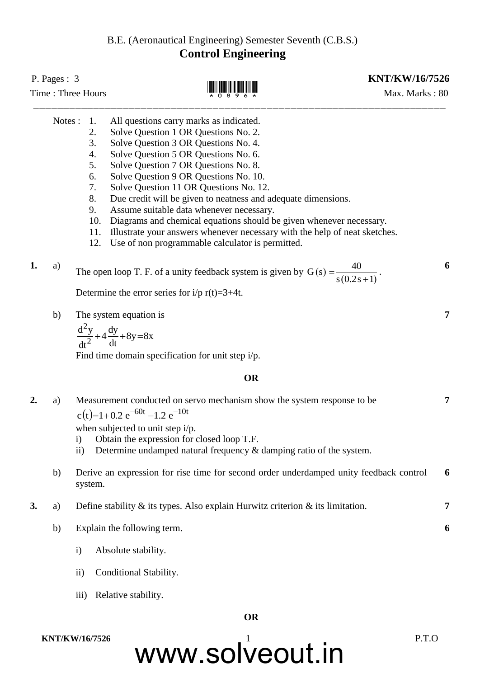## B.E. (Aeronautical Engineering) Semester Seventh (C.B.S.) **Control Engineering**

| P. Pages : $3$<br>Time: Three Hours |         |                                                                         | <b>KNT/KW/16/7526</b><br>Max. Marks: 80                                                                                                                                                                                                                                                                                                                                                                                                                                                                                                                                                                          |  |   |
|-------------------------------------|---------|-------------------------------------------------------------------------|------------------------------------------------------------------------------------------------------------------------------------------------------------------------------------------------------------------------------------------------------------------------------------------------------------------------------------------------------------------------------------------------------------------------------------------------------------------------------------------------------------------------------------------------------------------------------------------------------------------|--|---|
|                                     | Notes : | 1.<br>2.<br>3.<br>4.<br>5.<br>6.<br>7.<br>8.<br>9.<br>10.<br>11.<br>12. | All questions carry marks as indicated.<br>Solve Question 1 OR Questions No. 2.<br>Solve Question 3 OR Questions No. 4.<br>Solve Question 5 OR Questions No. 6.<br>Solve Question 7 OR Questions No. 8.<br>Solve Question 9 OR Questions No. 10.<br>Solve Question 11 OR Questions No. 12.<br>Due credit will be given to neatness and adequate dimensions.<br>Assume suitable data whenever necessary.<br>Diagrams and chemical equations should be given whenever necessary.<br>Illustrate your answers whenever necessary with the help of neat sketches.<br>Use of non programmable calculator is permitted. |  |   |
| 1.                                  | a)      |                                                                         | The open loop T. F. of a unity feedback system is given by $G(s) = \frac{40}{s(0.2s+1)}$ .<br>Determine the error series for $i/p r(t)=3+4t$ .                                                                                                                                                                                                                                                                                                                                                                                                                                                                   |  | 6 |
|                                     | b)      |                                                                         | The system equation is<br>$\frac{d^2y}{dt^2} + 4\frac{dy}{dt} + 8y = 8x$<br>Find time domain specification for unit step $i/p$ .                                                                                                                                                                                                                                                                                                                                                                                                                                                                                 |  | 7 |
|                                     |         |                                                                         | <b>OR</b>                                                                                                                                                                                                                                                                                                                                                                                                                                                                                                                                                                                                        |  |   |
| 2.                                  | a)      | $\mathbf{i}$<br>$\rm ii)$                                               | Measurement conducted on servo mechanism show the system response to be<br>$c(t)=1+0.2 e^{-60t} -1.2 e^{-10t}$<br>when subjected to unit step i/p.<br>Obtain the expression for closed loop T.F.<br>Determine undamped natural frequency $\&$ damping ratio of the system.                                                                                                                                                                                                                                                                                                                                       |  | 7 |
|                                     | b)      | system.                                                                 | Derive an expression for rise time for second order underdamped unity feedback control                                                                                                                                                                                                                                                                                                                                                                                                                                                                                                                           |  | 6 |
| 3.                                  | a)      |                                                                         | Define stability $\&$ its types. Also explain Hurwitz criterion $\&$ its limitation.                                                                                                                                                                                                                                                                                                                                                                                                                                                                                                                             |  | 7 |
|                                     | b)      | $\mathbf{i}$                                                            | Explain the following term.<br>Absolute stability.                                                                                                                                                                                                                                                                                                                                                                                                                                                                                                                                                               |  | 6 |
|                                     |         | $\rm ii)$                                                               | Conditional Stability.                                                                                                                                                                                                                                                                                                                                                                                                                                                                                                                                                                                           |  |   |

iii) Relative stability.

### **OR**

www.solveout.in **KNT/KW/16/7526** P.T.O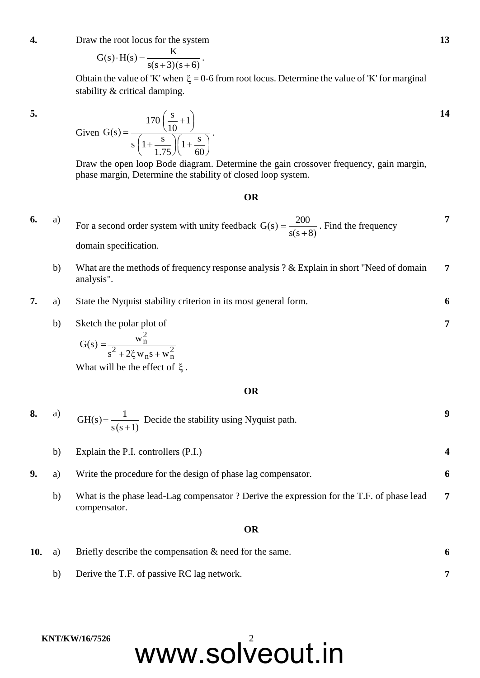**4.** Draw the root locus for the system

$$
G(s) \cdot H(s) = \frac{K}{s(s+3)(s+6)}
$$
.

Obtain the value of 'K' when  $\xi = 0$ -6 from root locus. Determine the value of 'K' for marginal stability & critical damping.

**5.**

Given 
$$
G(s) = \frac{170 \left(\frac{s}{10} + 1\right)}{s \left(1 + \frac{s}{1.75}\right) \left(1 + \frac{s}{60}\right)}
$$
.

Draw the open loop Bode diagram. Determine the gain crossover frequency, gain margin, phase margin, Determine the stability of closed loop system.

#### **OR**

- **6.** a) For a second order system with unity feedback  $G(s)$  $s(s+8)$  $G(s) = \frac{200}{s}$  $\overline{+}$  $=\frac{200}{(200)}$ . Find the frequency domain specification. **7**
	- b) What are the methods of frequency response analysis ? & Explain in short "Need of domain analysis". **7**
- **7.** a) State the Nyquist stability criterion in its most general form. **6**
	- b) Sketch the polar plot of

$$
G(s) = \frac{w_n^2}{s^2 + 2\xi w_n s + w_n^2}
$$

What will be the effect of  $\xi$ .

#### **OR**

| 8.  | a) | GH(s) = $\frac{1}{s(s+1)}$ Decide the stability using Nyquist path.                                      | 9              |
|-----|----|----------------------------------------------------------------------------------------------------------|----------------|
|     | b) | Explain the P.I. controllers (P.I.)                                                                      |                |
| 9.  | a) | Write the procedure for the design of phase lag compensator.                                             | 6              |
|     | b) | What is the phase lead-Lag compensator? Derive the expression for the T.F. of phase lead<br>compensator. | $\overline{7}$ |
|     |    | <b>OR</b>                                                                                                |                |
| 10. | a) | Briefly describe the compensation $\&$ need for the same.                                                | 6              |

b) Derive the T.F. of passive RC lag network. **7**

#### **KNT/KW/16/7526**

www.solveout.in

**13**

**14**

**7**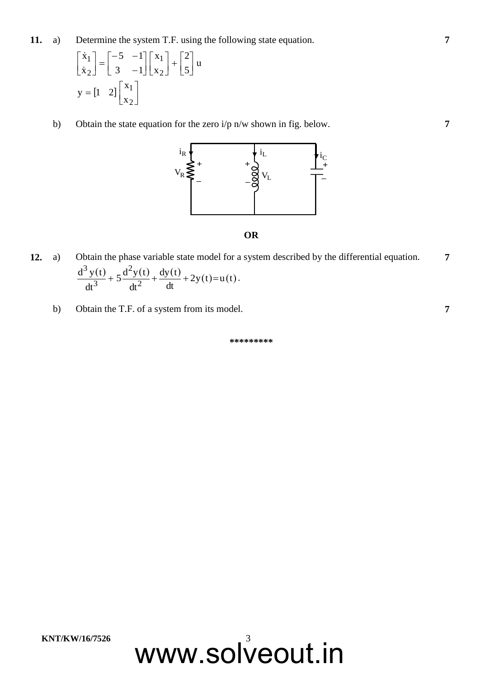**11.** a) Determine the system T.F. using the following state equation.

$$
\begin{bmatrix} \dot{x}_1 \\ \dot{x}_2 \end{bmatrix} = \begin{bmatrix} -5 & -1 \\ 3 & -1 \end{bmatrix} \begin{bmatrix} x_1 \\ x_2 \end{bmatrix} + \begin{bmatrix} 2 \\ 5 \end{bmatrix} u
$$

$$
y = \begin{bmatrix} 1 & 2 \end{bmatrix} \begin{bmatrix} x_1 \\ x_2 \end{bmatrix}
$$

b) Obtain the state equation for the zero i/p n/w shown in fig. below.



#### **OR**

- **12.** a) Obtain the phase variable state model for a system described by the differential equation.  $\frac{f(t)}{2}$  + 5 $\frac{d^2y(t)}{2}$  +  $\frac{dy(t)}{1}$  + 2y(t)=u(t) dt  $dy(t)$ dt  $5\frac{d^2y(t)}{2}$ dt  $d^3 y(t$ 2 2 3 3  $+5\frac{u^{2}y(t)}{2}+\frac{uy(t)}{1}+2y(t)=u(t).$ **7**
	- b) Obtain the T.F. of a system from its model. **7**

**\*\*\*\*\*\*\*\*\***

www.solveout.in



**7**